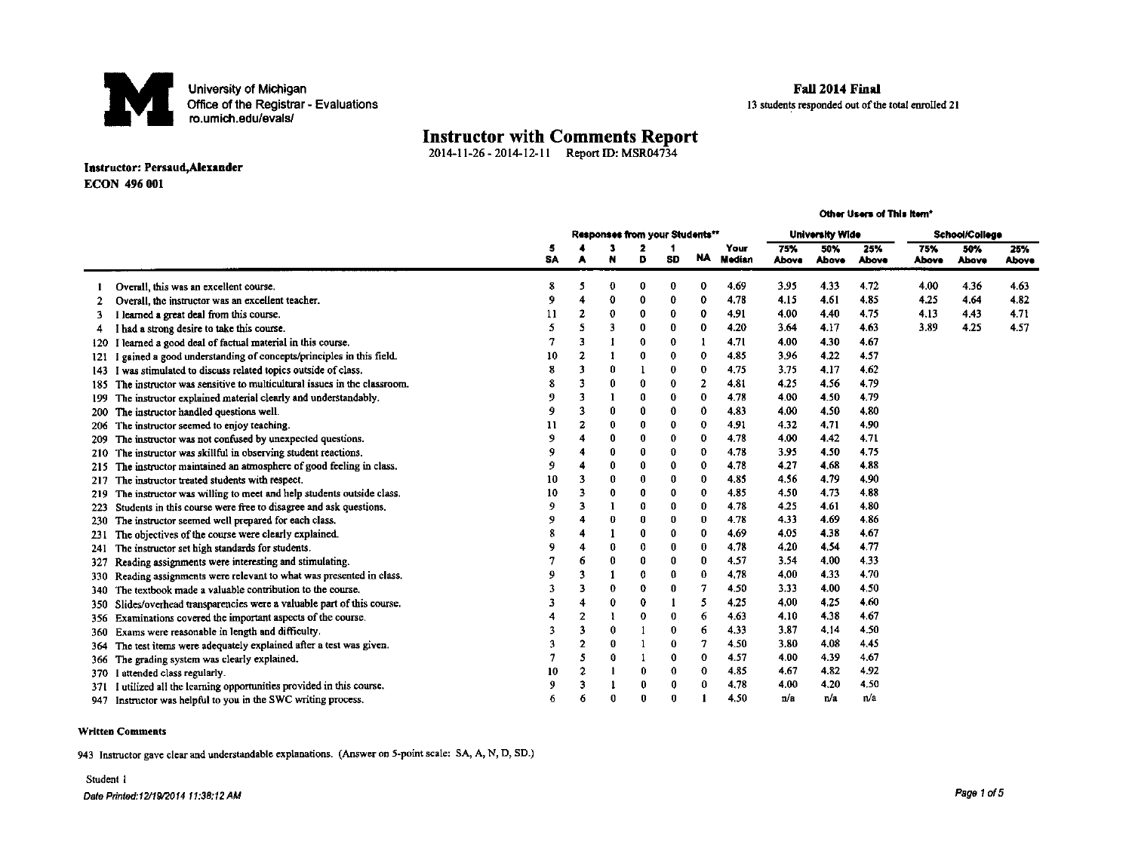

#### Fall 2014 Final

13 students responded out of the total enrolled 21

## **Instructor with Comments Report** 2014-11-26 - 2014-12-11 Report D: MSR04734

#### Instructor: Persaud, Alexander **ECON 496 001**

|              |                                                                        | Other Users of This item* |                                |          |             |                        |                |                |                |              |              |                     |              |              |
|--------------|------------------------------------------------------------------------|---------------------------|--------------------------------|----------|-------------|------------------------|----------------|----------------|----------------|--------------|--------------|---------------------|--------------|--------------|
|              |                                                                        |                           | Responses from your Students** |          |             | <b>University Wide</b> |                |                | School/College |              |              |                     |              |              |
|              |                                                                        | 5<br>SA                   |                                |          | D           | 1<br><b>SD</b>         | <b>NA</b>      | Your<br>Median | 75%<br>Above   | 50%<br>Above | 25%<br>Above | 75%<br><b>Above</b> | 50%<br>Above | 25%<br>Above |
|              | Overall, this was an excellent course.                                 | 8                         | 5                              | 0        | 0           | 0                      | 0              | 4.69           | 3.95           | 4.33         | 4.72         | 4.00                | 4.36         | 4.63         |
| $\mathbf{2}$ | Overall, the instructor was an excellent teacher.                      | 9                         | $\overline{\mathbf{4}}$        | 0        | $\mathbf 0$ | $\bf{0}$               | 0              | 4.78           | 4.15           | 4.61         | 4.85         | 4.25                | 4.64         | 482          |
| 3            | I learned a great deal from this course.                               | 11                        | 2                              | 0        | $\mathbf 0$ | $\bf{0}$               | 0              | 4.91           | 4.00           | 4.40         | 4.75         | 4.13                | 4.43         | 4.71         |
| 4            | I had a strong desire to take this course.                             | 5                         | 5                              | 3        | o           | 0                      | $\mathbf 0$    | 4.20           | 3.64           | 4.17         | 4.63         | 3.89                | 4.25         | 4.57         |
|              | I learned a good deal of factual material in this course.              |                           | 3                              |          | 0           | $\mathbf 0$            | 1              | 4.71           | 4.00           | 4.30         | 4.67         |                     |              |              |
| 121          | gained a good understanding of concepts/principles in this field.      | 10                        | 2                              |          | 0           | $\bf{0}$               | $\bf{0}$       | 4.85           | 3.96           | 4.22         | 4.57         |                     |              |              |
| 143          | I was stimulated to discuss related topics outside of class.           |                           | 3                              | $\bf{0}$ |             | $\boldsymbol{0}$       | $\bf{0}$       | 4.75           | 3.75           | 4.17         | 4.62         |                     |              |              |
| 185          | The instructor was sensitive to multicultural issues in the classroom. |                           | 3                              | $\bf{0}$ | $\mathbf 0$ | $\boldsymbol{0}$       | $\overline{2}$ | 4.81           | 4.25           | 4.56         | 4.79         |                     |              |              |
| 199          | The instructor explained material clearly and understandably.          | -9                        | 3                              |          | 0           | 0                      | $\bf{0}$       | 4.78           | 4.00           | 4.50         | 4.79         |                     |              |              |
| 200          | The instructor handled questions well.                                 | 9                         | 3                              | 0        | 0           | $\mathbf 0$            | $\bf{0}$       | 4.83           | 4.00           | 4.50         | 4.80         |                     |              |              |
| 206          | The instructor seemed to enjoy teaching.                               | 11                        | $\mathbf{z}$                   | $\bf{0}$ | 0           | $\mathbf 0$            | 0              | 4.91           | 4.32           | 4.71         | 4.90         |                     |              |              |
| 209          | The instructor was not confused by unexpected questions.               | 9                         | 4                              | 0        | 0           | 0                      | $\bf{0}$       | 4.78           | 4.00           | 4.42         | 4.71         |                     |              |              |
| 210          | The instructor was skillful in observing student reactions.            | 9                         | 4                              | 0        | 0           | $\bf{0}$               | 0              | 4.78           | 3.95           | 4.50         | 4.75         |                     |              |              |
| 215          | The instructor maintained an atmosphere of good feeling in class.      | 9                         | 4                              | 0        | 0           | $\mathbf 0$            | 0              | 4.78           | 4.27           | 4,68         | 4,88         |                     |              |              |
| 217          | The instructor treated students with respect.                          | 10                        | 3                              | 0        | 0           | 0                      | 0              | 485            | 4.56           | 4.79         | 4,90         |                     |              |              |
| 219          | The instructor was willing to meet and help students outside class.    | 10                        | 3                              | 0        | O           | 0                      | 0              | 4.85           | 4.50           | 4.73         | 4.88         |                     |              |              |
| 223          | Students in this course were free to disagree and ask questions.       | ۰                         | 3                              |          | n           | $\bf{0}$               | 0              | 4.78           | 4.25           | 4.61         | 4.80         |                     |              |              |
| 230          | The instructor seemed well prepared for each class.                    | 9                         | $\overline{A}$                 | 0        | 0           | 0                      | 0              | 4.78           | 4.33           | 4.69         | 4.86         |                     |              |              |
| -231         | The objectives of the course were clearly explained.                   |                           | 4                              |          | 0           | 0                      | 0              | 4.69           | 4.05           | 4.38         | 4.67         |                     |              |              |
| 241          | The instructor set high standards for students.                        |                           | 4                              | 0        | 0           | $\boldsymbol{0}$       | $\bf{0}$       | 4.78           | 4.20           | 4.54         | 4.77         |                     |              |              |
| 327          | Reading assignments were interesting and stimulating.                  |                           | 6                              | 0        | 0           | 0                      | 0              | 4.57           | 3.54           | 4.00         | 4.33         |                     |              |              |
| 330          | Reading assignments were relevant to what was presented in class.      |                           | 3                              |          | 0           | 0                      | 0              | 4.78           | 4.00           | 4.33         | 4.70         |                     |              |              |
| 340          | The textbook made a valuable contribution to the course.               |                           | 3                              | 0        | 0           | 0                      | 7              | 4.50           | 3.33           | 4.00         | 4.50         |                     |              |              |
| 350          | Slides/overhead transparencies were a valuable part of this course.    | 3                         | 4                              | 0        | 0           | 1                      | 5              | 4.25           | 4.00           | 4.25         | 4.60         |                     |              |              |
| 356          | Examinations covered the important aspects of the course.              |                           | $\mathbf{2}$                   |          | 0           | 0                      | 6              | 4.63           | 4.10           | 4.38         | 4,67         |                     |              |              |
| 360          | Exams were reasonable in length and difficulty.                        |                           | 3                              | 0        |             | $\bf{0}$               | 6              | 4.33           | 3.87           | 4.14         | 4.50         |                     |              |              |
| 364          | The test items were adequately explained after a test was given.       | 3                         | $\mathbf{2}$                   | 0        |             | 0                      | $\overline{7}$ | 4.50           | 3.80           | 4.08         | 4.45         |                     |              |              |
| 366          | The grading system was clearly explained.                              |                           | 5                              | 0        |             | $\mathbf 0$            | $\mathbf 0$    | 4.57           | 4.00           | 4.39         | 4.67         |                     |              |              |
| 370          | I attended class regularly.                                            | 10                        | $\overline{2}$                 |          | 0           | $\mathbf 0$            | $\mathbf 0$    | 4.85           | 467            | 4.82         | 4.92         |                     |              |              |
| 371          | I utilized all the learning opportunities provided in this course.     | 9                         | $\overline{3}$                 |          |             | 0                      | $\bf{0}$       | 4.78           | 4.00           | 4.20         | 4.50         |                     |              |              |
| 947          | Instructor was helpful to you in the SWC writing process.              | 6                         | 6                              | $\theta$ |             | $\bf{0}$               |                | 4.50           | n/a            | n/a          | n/a          |                     |              |              |

#### **Written Comments**

943 Instructor gave clear and understandable explanations. (Answer on 5-point scale: SA, A, N, D, SD.)

#### Student 1

Date Printed:12/19/2014 11:38:12 AM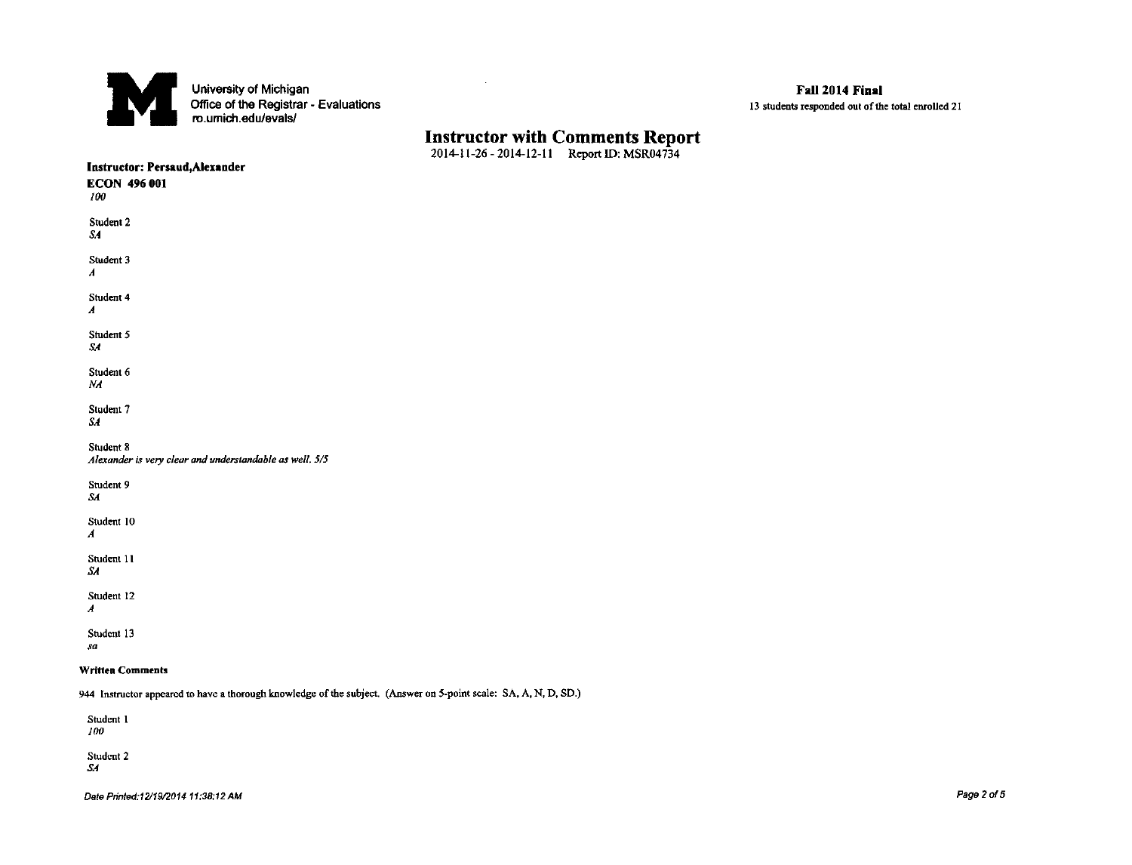

## **Instructor with Comments Report** 2014-11-26 - 2014-12-11 Report ID: MSR04734

 $\mathcal{L}_{\mathcal{A}}$ 

| <b>ECON 496 001</b><br>100                                                                                       |  |
|------------------------------------------------------------------------------------------------------------------|--|
|                                                                                                                  |  |
|                                                                                                                  |  |
| Student 2                                                                                                        |  |
| SA                                                                                                               |  |
| Student 3                                                                                                        |  |
| $\boldsymbol{A}$                                                                                                 |  |
| Student 4                                                                                                        |  |
| $\boldsymbol{A}$                                                                                                 |  |
| Student 5                                                                                                        |  |
| SA                                                                                                               |  |
| Student 6                                                                                                        |  |
| NA                                                                                                               |  |
| Student 7                                                                                                        |  |
| SA                                                                                                               |  |
| Student 8                                                                                                        |  |
| Alexander is very clear and understandable as well. 5/5                                                          |  |
| Student 9                                                                                                        |  |
| SA                                                                                                               |  |
| Student 10                                                                                                       |  |
| A                                                                                                                |  |
| Student 11                                                                                                       |  |
| SA                                                                                                               |  |
| Student 12                                                                                                       |  |
| $\boldsymbol{A}$                                                                                                 |  |
| Student 13                                                                                                       |  |
| sa                                                                                                               |  |
| <b>Written Comments</b>                                                                                          |  |
| 944 Instructor appeared to have a thorough knowledge of the subject. (Answer on 5-point scale: SA, A, N, D, SD.) |  |

Student 1  $100$ 

Student 2<br>SA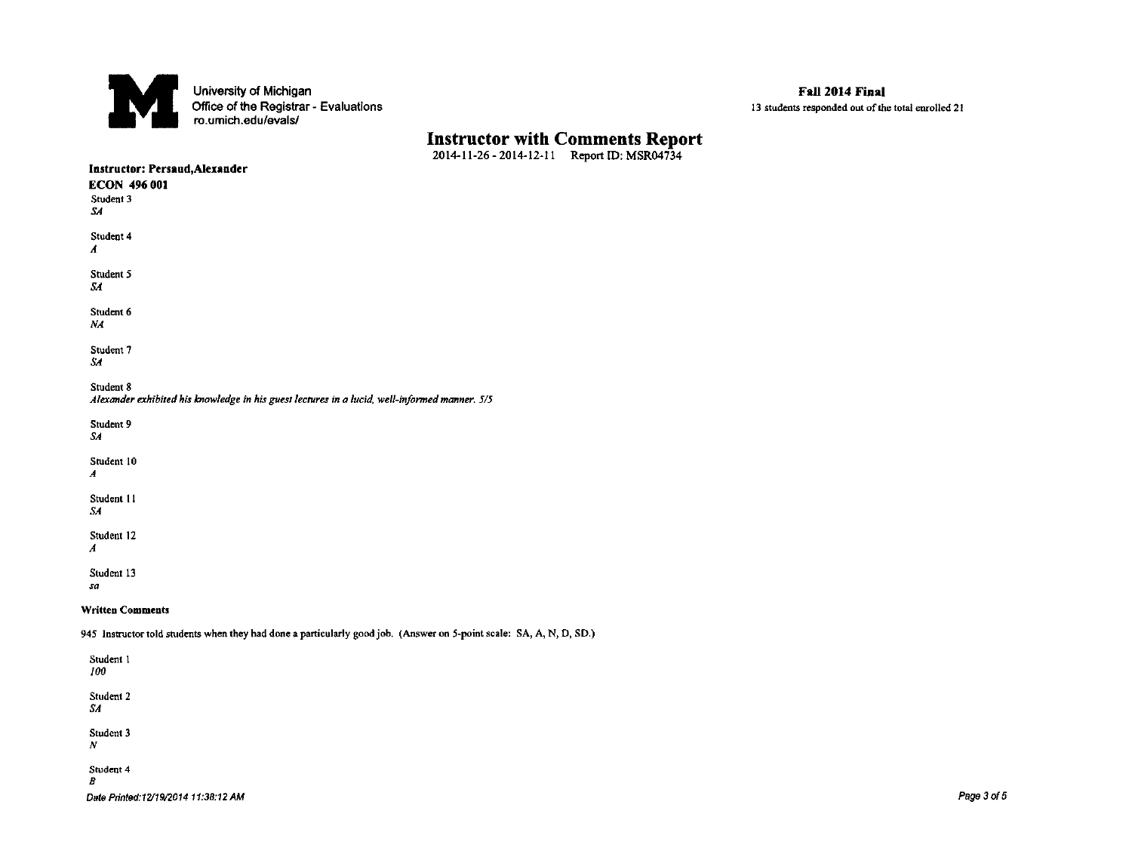

# **Instructor with Comments Report** 2014-11-26 - 2014-12-11 Report ID: MSR04734

| Instructor: Persaud, Alexander |                                                                                                                      |  |
|--------------------------------|----------------------------------------------------------------------------------------------------------------------|--|
| <b>ECON 496 001</b>            |                                                                                                                      |  |
| Student 3                      |                                                                                                                      |  |
| SA.                            |                                                                                                                      |  |
| Student 4                      |                                                                                                                      |  |
| A                              |                                                                                                                      |  |
| Student 5                      |                                                                                                                      |  |
| SА                             |                                                                                                                      |  |
| Student 6                      |                                                                                                                      |  |
| NA                             |                                                                                                                      |  |
| Student 7                      |                                                                                                                      |  |
| SA.                            |                                                                                                                      |  |
| Student 8                      |                                                                                                                      |  |
|                                | Alexander exhibited his knowledge in his guest lectures in a lucid, well-informed manner. 5/5                        |  |
| Student 9                      |                                                                                                                      |  |
| SА                             |                                                                                                                      |  |
| Student 10                     |                                                                                                                      |  |
| $\boldsymbol{A}$               |                                                                                                                      |  |
| Student 11                     |                                                                                                                      |  |
| SA                             |                                                                                                                      |  |
| Student 12                     |                                                                                                                      |  |
| A                              |                                                                                                                      |  |
| Student 13                     |                                                                                                                      |  |
| sa                             |                                                                                                                      |  |
| <b>Written Comments</b>        |                                                                                                                      |  |
|                                | 945 Instructor told students when they had done a particularly good job. (Answer on 5-point scale: SA, A, N, D, SD.) |  |
| Student 1                      |                                                                                                                      |  |
| 100                            |                                                                                                                      |  |

### Student 2 SA

Student 3  $\overline{N}$ 

Student 4

 $\boldsymbol{B}$ 

Date Printed:12/19/2014 11:38:12 AM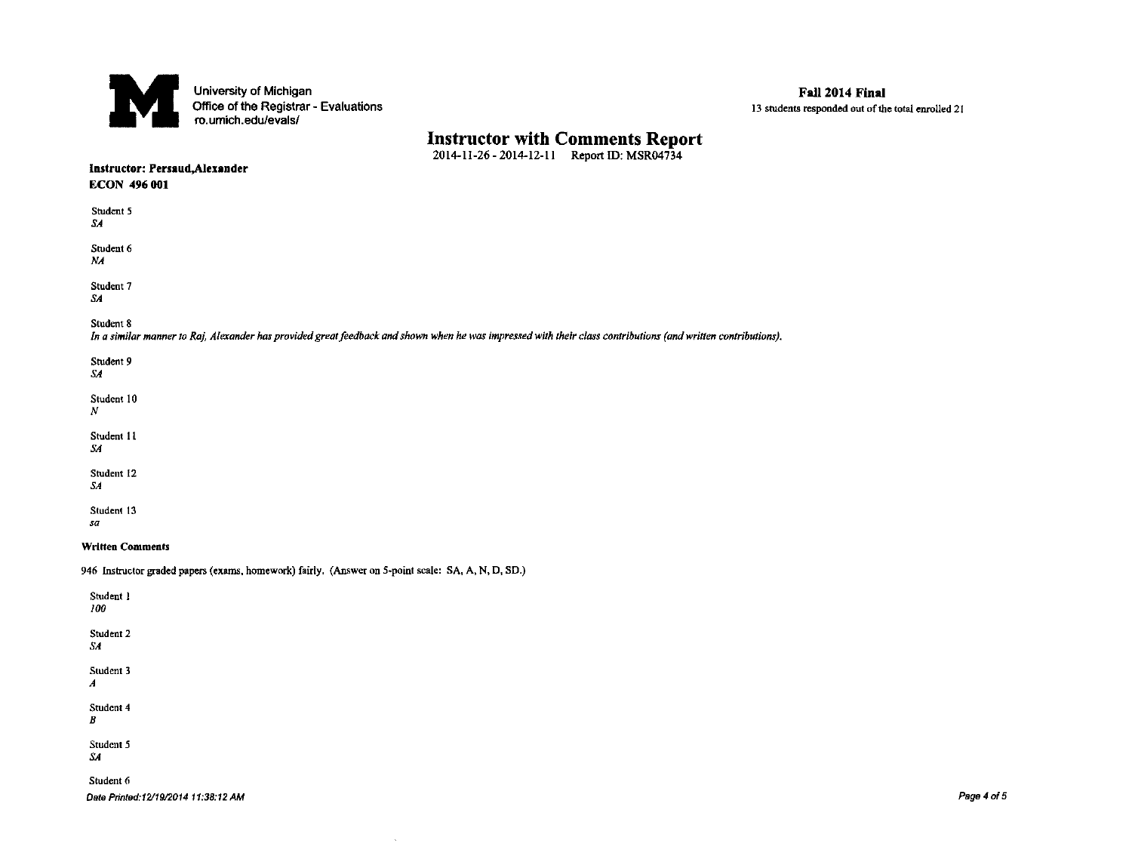

# Instructor with Comments Report<br>
2014-11-26 - 2014-12-11 Report ID: MSR04734

| $-$<br>Instructor: Persaud, Alexander<br><b>ECON 496 001</b>                                                                                                               |
|----------------------------------------------------------------------------------------------------------------------------------------------------------------------------|
| Student 5<br>SA.                                                                                                                                                           |
| Student 6<br>$N_A$                                                                                                                                                         |
| Student 7<br>SА                                                                                                                                                            |
| Student 8<br>In a similar manner to Raj, Alexander has provided great feedback and shown when he was impressed with their class contributions (and written contributions). |
| Student 9<br>SA.                                                                                                                                                           |
| Student 10<br>N                                                                                                                                                            |
| Student 11<br>SA                                                                                                                                                           |
| Student 12<br>SA                                                                                                                                                           |
| Student 13<br>sa                                                                                                                                                           |
| <b>Written Comments</b>                                                                                                                                                    |
| 946 Instructor graded papers (exams, homework) fairly. (Answer on 5-point scale: SA, A, N, D, SD.)                                                                         |
| Student 1<br>100                                                                                                                                                           |
| Student 2<br>SA                                                                                                                                                            |
| Student 3<br>A                                                                                                                                                             |
| Student 4<br>В                                                                                                                                                             |
| Student 5<br>SА                                                                                                                                                            |
| Student 6<br>Date Printed:12/19/2014 11:38:12 AM                                                                                                                           |

 $\sim$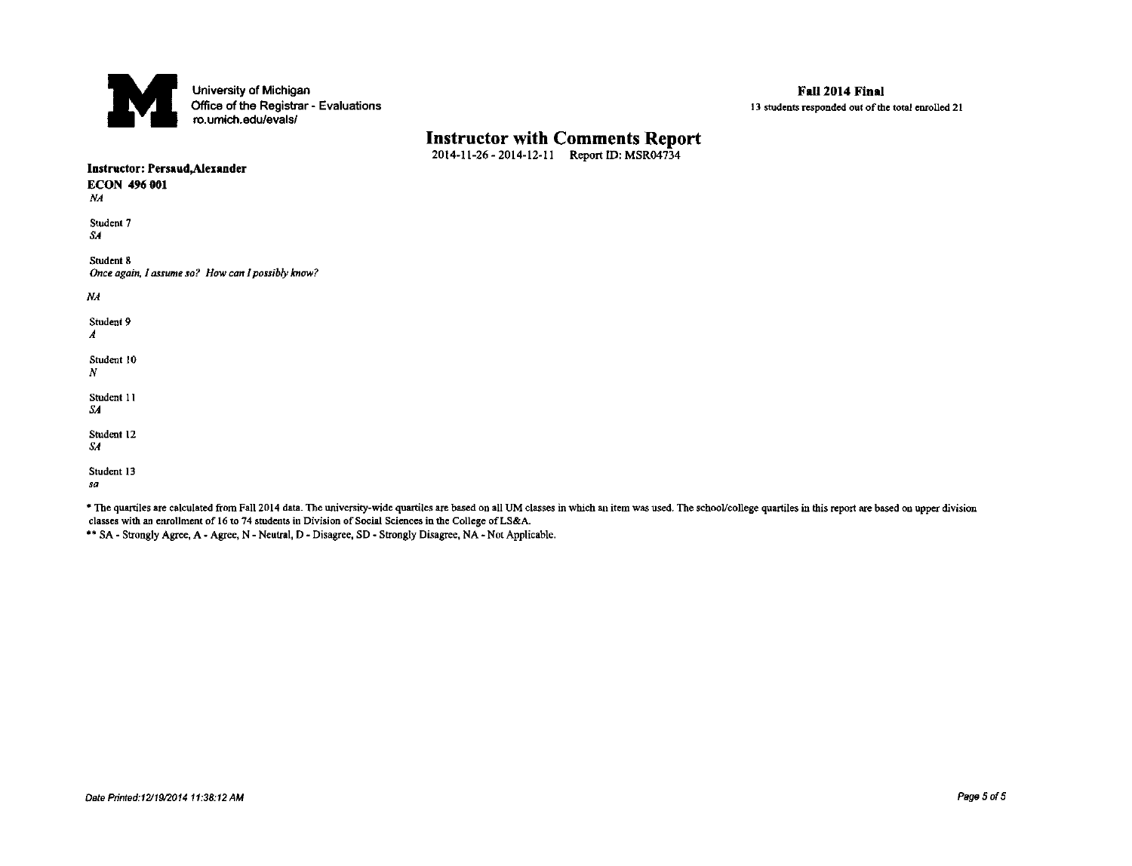

# **Instructor with Comments Report** 2014-11-26 - 2014-12-11 Report ID: MSR04734

| Instructor: Persaud, Alexander<br><b>ECON 496 001</b><br>NA                                                                                                                                                      |
|------------------------------------------------------------------------------------------------------------------------------------------------------------------------------------------------------------------|
| Student 7<br>SA.                                                                                                                                                                                                 |
| Student 8<br>Once again, I assume so? How can I possibly know?                                                                                                                                                   |
| NA                                                                                                                                                                                                               |
| Student 9<br>$\boldsymbol{A}$                                                                                                                                                                                    |
| Student 10<br>$\boldsymbol{N}$                                                                                                                                                                                   |
| Student 11<br>SA.                                                                                                                                                                                                |
| Student 12<br>$S$ A                                                                                                                                                                                              |
| Student 13<br>sa                                                                                                                                                                                                 |
| * The quartiles are calculated from Fall 2014 data. The university-wide quartiles are based on all UM classes in which an item was used. The school/college quartiles in this report are based on upper division |

classes with an enrollment of 16 to 74 students in Division of Social Sciences in the College of LS&A.

\*\* SA - Strongly Agree, A - Agree, N - Neutral, D - Disagree, SD - Strongly Disagree, NA - Not Applicable.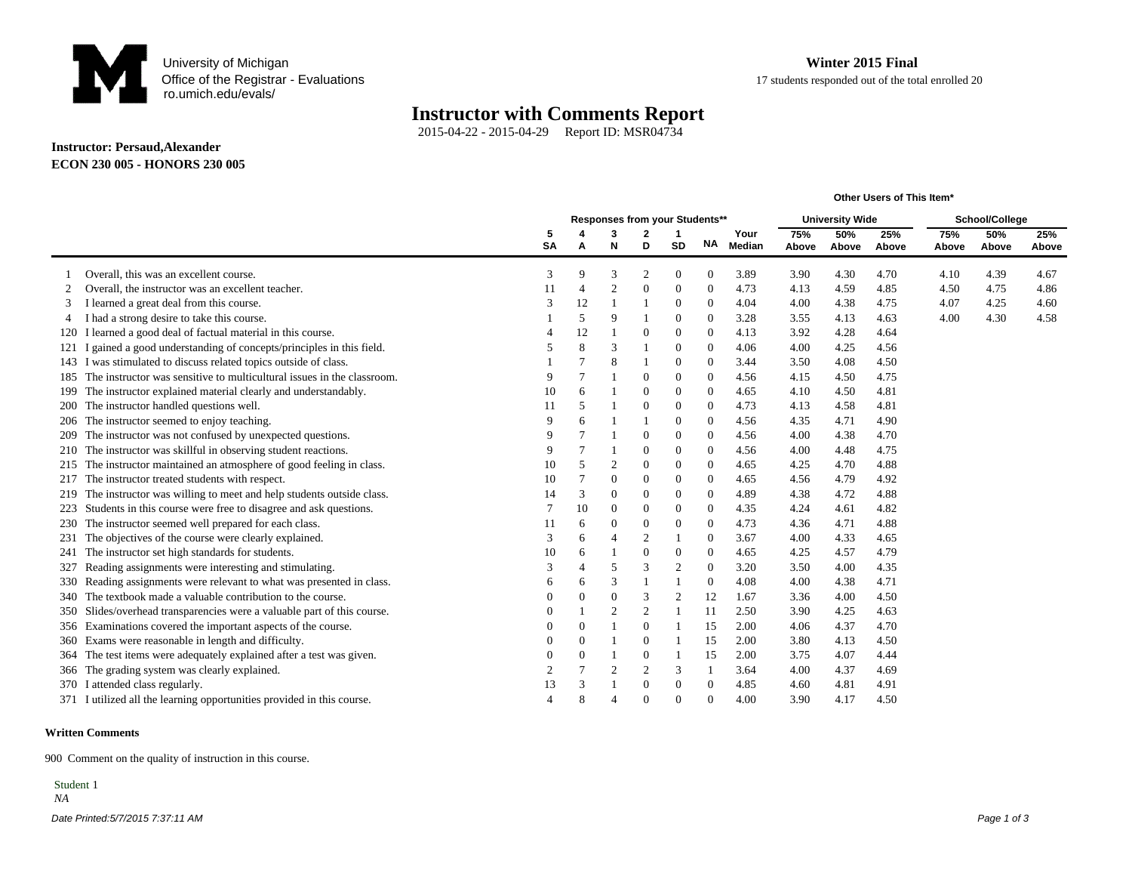

**Other Users of This Item\***

### **Instructor with Comments Report**

2015-04-22 - 2015-04-29 Report ID: MSR04734

#### **Instructor: Persaud,Alexander ECON 230 005 - HONORS 230 005**

|     |                                                                        |              |                |                |                | Responses from your Students** |                  |        | <b>University Wide</b> |       |       | School/College |       |       |
|-----|------------------------------------------------------------------------|--------------|----------------|----------------|----------------|--------------------------------|------------------|--------|------------------------|-------|-------|----------------|-------|-------|
|     |                                                                        | 5            |                | 3              |                | -1                             |                  | Your   | 75%                    | 50%   | 25%   | 75%            | 50%   | 25%   |
|     |                                                                        | <b>SA</b>    | A              | N              | D              | <b>SD</b>                      | ΝA               | Median | Above                  | Above | Above | Above          | Above | Above |
|     | Overall, this was an excellent course.                                 | 3            | 9              | 3              | $\overline{2}$ | $\mathbf{0}$                   | $\mathbf{0}$     | 3.89   | 3.90                   | 4.30  | 4.70  | 4.10           | 4.39  | 4.67  |
| 2   | Overall, the instructor was an excellent teacher.                      | 11           | $\overline{4}$ | $\overline{c}$ | $\theta$       | $\mathbf{0}$                   | $\mathbf{0}$     | 4.73   | 4.13                   | 4.59  | 4.85  | 4.50           | 4.75  | 4.86  |
| 3   | I learned a great deal from this course.                               | $\mathbf{3}$ | 12             |                |                | $\mathbf{0}$                   | $\mathbf{0}$     | 4.04   | 4.00                   | 4.38  | 4.75  | 4.07           | 4.25  | 4.60  |
|     | I had a strong desire to take this course.                             |              | 5              | 9              |                | $\mathbf{0}$                   | $\mathbf{0}$     | 3.28   | 3.55                   | 4.13  | 4.63  | 4.00           | 4.30  | 4.58  |
| 120 | I learned a good deal of factual material in this course.              |              | 12             |                | $\theta$       | $\mathbf{0}$                   | $\mathbf{0}$     | 4.13   | 3.92                   | 4.28  | 4.64  |                |       |       |
|     | gained a good understanding of concepts/principles in this field.      |              | 8              | 3              |                | $\theta$                       | $\theta$         | 4.06   | 4.00                   | 4.25  | 4.56  |                |       |       |
|     | 143 I was stimulated to discuss related topics outside of class.       |              | $\overline{7}$ | 8              |                | $\mathbf{0}$                   | $\mathbf{0}$     | 3.44   | 3.50                   | 4.08  | 4.50  |                |       |       |
| 185 | The instructor was sensitive to multicultural issues in the classroom. | 9            | $\overline{7}$ |                | $\Omega$       | $\mathbf{0}$                   | $\mathbf{0}$     | 4.56   | 4.15                   | 4.50  | 4.75  |                |       |       |
| 199 | The instructor explained material clearly and understandably.          | 10           | 6              |                | $\Omega$       | $\mathbf{0}$                   | $\mathbf{0}$     | 4.65   | 4.10                   | 4.50  | 4.81  |                |       |       |
| 200 | The instructor handled questions well.                                 | 11           | 5              |                | $\theta$       | $\mathbf{0}$                   | $\mathbf{0}$     | 4.73   | 4.13                   | 4.58  | 4.81  |                |       |       |
| 206 | The instructor seemed to enjoy teaching.                               | 9            | 6              |                |                | $\theta$                       | $\mathbf{0}$     | 4.56   | 4.35                   | 4.71  | 4.90  |                |       |       |
| 209 | The instructor was not confused by unexpected questions.               | 9            | $\overline{7}$ |                | $\Omega$       | $\theta$                       | $\mathbf{0}$     | 4.56   | 4.00                   | 4.38  | 4.70  |                |       |       |
| 210 | The instructor was skillful in observing student reactions.            | 9            | $\overline{7}$ |                | $\Omega$       | $\mathbf{0}$                   | $\boldsymbol{0}$ | 4.56   | 4.00                   | 4.48  | 4.75  |                |       |       |
| 215 | The instructor maintained an atmosphere of good feeling in class.      | 10           | 5              | $\mathbf{2}$   | $\theta$       | $\mathbf{0}$                   | $\mathbf{0}$     | 4.65   | 4.25                   | 4.70  | 4.88  |                |       |       |
| 217 | The instructor treated students with respect.                          | 10           | 7              | $\overline{0}$ | $\theta$       | $\mathbf{0}$                   | $\theta$         | 4.65   | 4.56                   | 4.79  | 4.92  |                |       |       |
| 219 | The instructor was willing to meet and help students outside class.    | 14           | 3              | 0              | $\Omega$       | $\theta$                       | $\theta$         | 4.89   | 4.38                   | 4.72  | 4.88  |                |       |       |
|     | Students in this course were free to disagree and ask questions.       | 7            | 10             | $\Omega$       | $\Omega$       | $\theta$                       | $\theta$         | 4.35   | 4.24                   | 4.61  | 4.82  |                |       |       |
| 230 | The instructor seemed well prepared for each class.                    | 11           | 6              | $\overline{0}$ | $\Omega$       | $\mathbf{0}$                   | $\boldsymbol{0}$ | 4.73   | 4.36                   | 4.71  | 4.88  |                |       |       |
| 231 | The objectives of the course were clearly explained.                   | 3            | 6              | $\overline{A}$ | $\overline{2}$ |                                | $\mathbf{0}$     | 3.67   | 4.00                   | 4.33  | 4.65  |                |       |       |
| 241 | The instructor set high standards for students.                        | 10           | 6              |                | $\Omega$       | $\theta$                       | $\mathbf{0}$     | 4.65   | 4.25                   | 4.57  | 4.79  |                |       |       |
| 327 | Reading assignments were interesting and stimulating.                  | 3            | $\overline{4}$ | 5              | 3              | $\overline{2}$                 | $\theta$         | 3.20   | 3.50                   | 4.00  | 4.35  |                |       |       |
| 330 | Reading assignments were relevant to what was presented in class.      | 6            | 6              | 3              |                |                                | $\mathbf{0}$     | 4.08   | 4.00                   | 4.38  | 4.71  |                |       |       |
| 340 | The textbook made a valuable contribution to the course.               |              | $\mathbf{0}$   | $\overline{0}$ | 3              | $\overline{2}$                 | 12               | 1.67   | 3.36                   | 4.00  | 4.50  |                |       |       |
| 350 | Slides/overhead transparencies were a valuable part of this course.    |              |                | $\mathfrak{2}$ | $\overline{2}$ |                                | 11               | 2.50   | 3.90                   | 4.25  | 4.63  |                |       |       |
| 356 | Examinations covered the important aspects of the course.              |              | $\mathbf{0}$   |                | $\Omega$       |                                | 15               | 2.00   | 4.06                   | 4.37  | 4.70  |                |       |       |
| 360 | Exams were reasonable in length and difficulty.                        | $\theta$     | $\theta$       |                | $\Omega$       |                                | 15               | 2.00   | 3.80                   | 4.13  | 4.50  |                |       |       |
| 364 | The test items were adequately explained after a test was given.       |              | $\mathbf{0}$   |                | $\theta$       |                                | 15               | 2.00   | 3.75                   | 4.07  | 4.44  |                |       |       |
| 366 | The grading system was clearly explained.                              | 2            | $\overline{7}$ | $\overline{2}$ | $\overline{2}$ | 3                              | - 1              | 3.64   | 4.00                   | 4.37  | 4.69  |                |       |       |
| 370 | I attended class regularly.                                            | 13           | 3              |                | $\Omega$       | $\theta$                       | $\mathbf{0}$     | 4.85   | 4.60                   | 4.81  | 4.91  |                |       |       |
|     | 371 I utilized all the learning opportunities provided in this course. | $\Delta$     | 8              |                |                | $\Omega$                       | $\Omega$         | 4.00   | 3.90                   | 4.17  | 4.50  |                |       |       |

#### **Written Comments**

900 Comment on the quality of instruction in this course.

Date Printed:5/7/2015 7:37:11 AM Page 1 of 3 Student 1  *NA*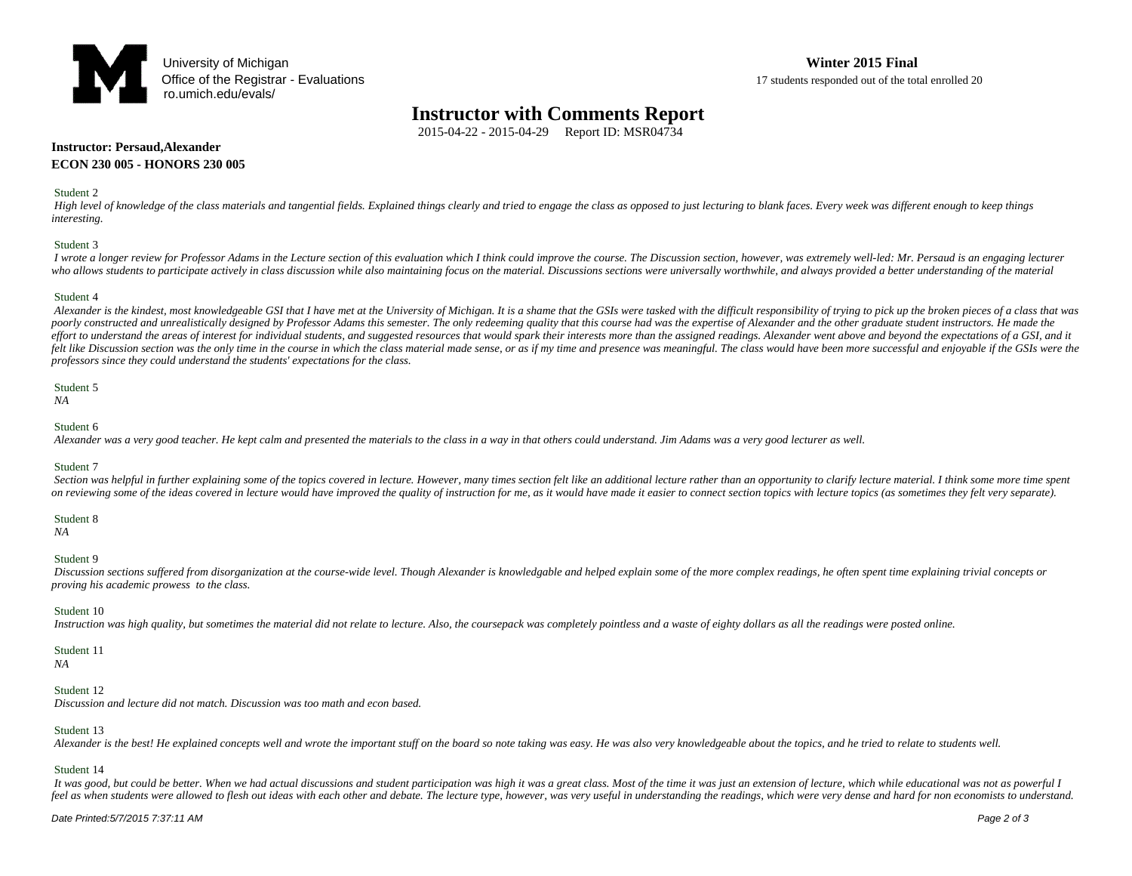

## **Instructor with Comments Report**

2015-04-22 - 2015-04-29 Report ID: MSR04734

#### **Instructor: Persaud,Alexander ECON 230 005 - HONORS 230 005**

#### Student 2

High level of knowledge of the class materials and tangential fields. Explained things clearly and tried to engage the class as opposed to just lecturing to blank faces. Every week was different enough to keep things *interesting.* 

#### Student 3

I wrote a longer review for Professor Adams in the Lecture section of this evaluation which I think could improve the course. The Discussion section, however, was extremely well-led: Mr. Persaud is an engaging lecturer who allows students to participate actively in class discussion while also maintaining focus on the material. Discussions sections were universally worthwhile, and always provided a better understanding of the material

#### Student 4

Alexander is the kindest, most knowledgeable GSI that I have met at the University of Michigan. It is a shame that the GSIs were tasked with the difficult responsibility of trying to pick up the broken pieces of a class th poorly constructed and unrealistically designed by Professor Adams this semester. The only redeeming quality that this course had was the expertise of Alexander and the other graduate student instructors. He made the effort to understand the areas of interest for individual students, and suggested resources that would spark their interests more than the assigned readings. Alexander went above and beyond the expectations of a GSI, and i felt like Discussion section was the only time in the course in which the class material made sense, or as if my time and presence was meaningful. The class would have been more successful and enjoyable if the GSIs were th *professors since they could understand the students' expectations for the class.* 

#### Student 5

### *NA*

#### Student 6

 *Alexander was a very good teacher. He kept calm and presented the materials to the class in a way in that others could understand. Jim Adams was a very good lecturer as well.*

#### Student 7

Section was helpful in further explaining some of the topics covered in lecture. However, many times section felt like an additional lecture rather than an opportunity to clarify lecture material. I think some more time sp on reviewing some of the ideas covered in lecture would have improved the quality of instruction for me, as it would have made it easier to connect section topics with lecture topics (as sometimes they felt very separate).

#### Student 8

 *NA*

#### Student 9

 *Discussion sections suffered from disorganization at the course-wide level. Though Alexander is knowledgable and helped explain some of the more complex readings, he often spent time explaining trivial concepts or proving his academic prowess to the class.*

#### Student 10

 *Instruction was high quality, but sometimes the material did not relate to lecture. Also, the coursepack was completely pointless and a waste of eighty dollars as all the readings were posted online.* 

#### Student 11

 *NA*

#### Student 12

 *Discussion and lecture did not match. Discussion was too math and econ based.*

#### Student 13

Alexander is the best! He explained concepts well and wrote the important stuff on the board so note taking was easy. He was also very knowledgeable about the topics, and he tried to relate to students well.

#### Student 14

It was good, but could be better. When we had actual discussions and student participation was high it was a great class. Most of the time it was just an extension of lecture, which while educational was not as powerful I feel as when students were allowed to flesh out ideas with each other and debate. The lecture type, however, was very useful in understanding the readings, which were very dense and hard for non economists to understand.

#### Date Printed:5/7/2015 7:37:11 AM Page 2 of 3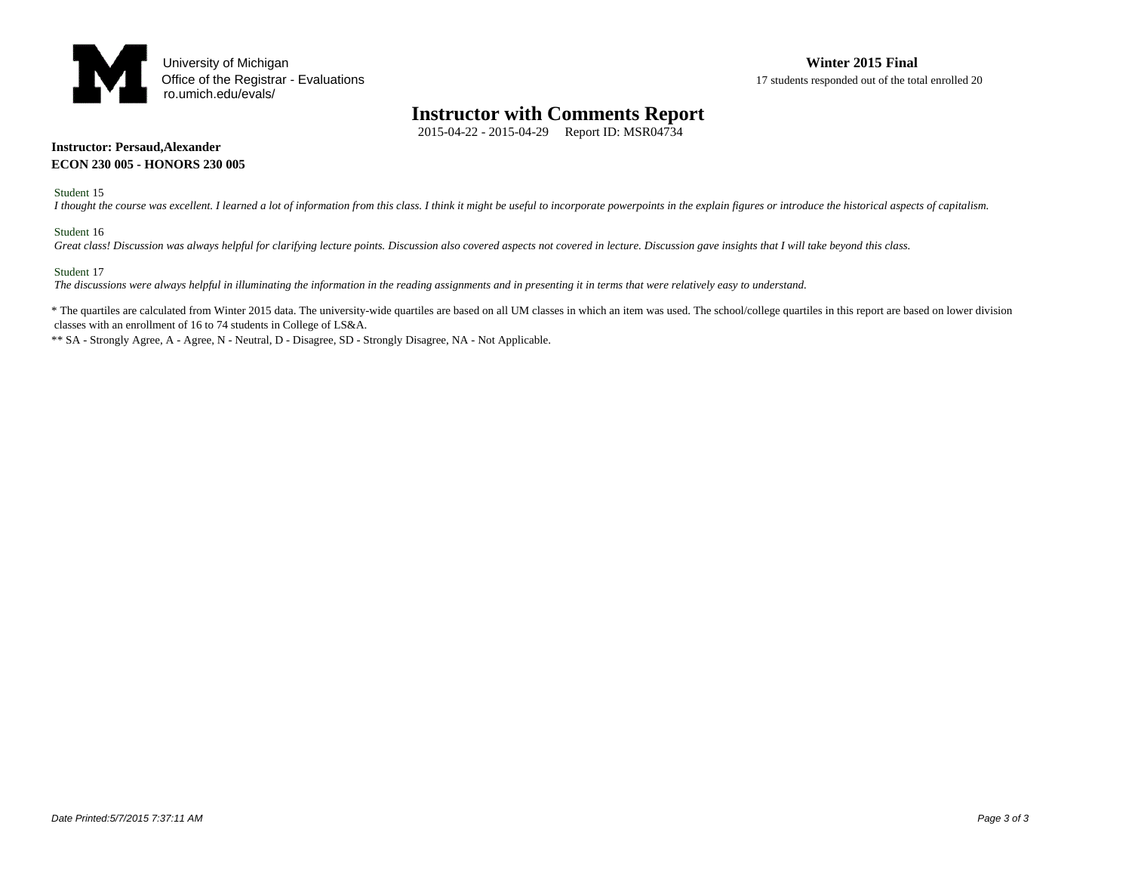

## **Instructor with Comments Report**

2015-04-22 - 2015-04-29 Report ID: MSR04734

#### **Instructor: Persaud,Alexander ECON 230 005 - HONORS 230 005**

Student 15

 *I thought the course was excellent. I learned a lot of information from this class. I think it might be useful to incorporate powerpoints in the explain figures or introduce the historical aspects of capitalism.*

#### Student 16

 *Great class! Discussion was always helpful for clarifying lecture points. Discussion also covered aspects not covered in lecture. Discussion gave insights that I will take beyond this class.* 

#### Student 17

 *The discussions were always helpful in illuminating the information in the reading assignments and in presenting it in terms that were relatively easy to understand.* 

\* The quartiles are calculated from Winter 2015 data. The university-wide quartiles are based on all UM classes in which an item was used. The school/college quartiles in this report are based on lower division classes with an enrollment of 16 to 74 students in College of LS&A.

\*\* SA - Strongly Agree, A - Agree, N - Neutral, D - Disagree, SD - Strongly Disagree, NA - Not Applicable.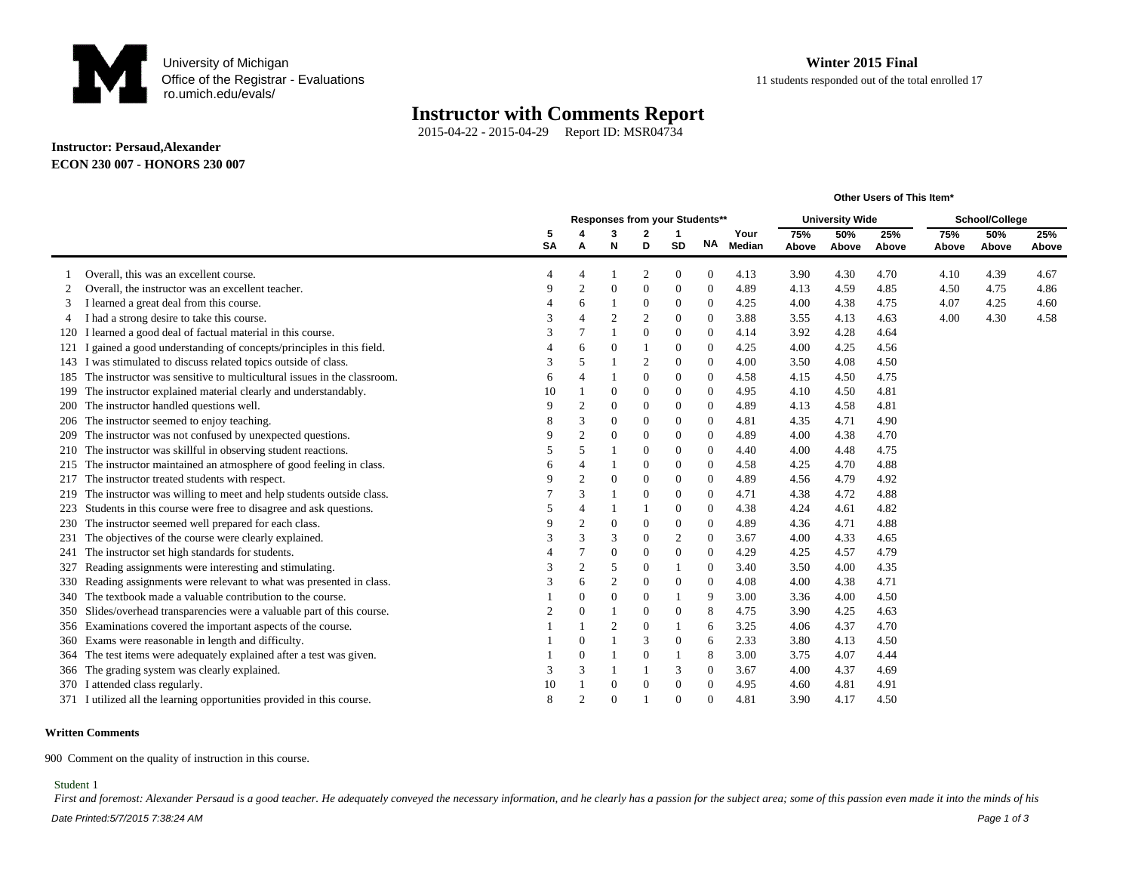

**Other Users of This Item\***

## **Instructor with Comments Report**

2015-04-22 - 2015-04-29 Report ID: MSR04734

#### **Instructor: Persaud,Alexander ECON 230 007 - HONORS 230 007**

|     |                                                                            |           | Responses from your Students** |                |                |                |                | <b>University Wide</b> |       |       | School/College |       |       |       |
|-----|----------------------------------------------------------------------------|-----------|--------------------------------|----------------|----------------|----------------|----------------|------------------------|-------|-------|----------------|-------|-------|-------|
|     |                                                                            | 5         |                                | 3              | 2              | 1              |                | Your                   | 75%   | 50%   | 25%            | 75%   | 50%   | 25%   |
|     |                                                                            | <b>SA</b> | A                              | N              | D              | <b>SD</b>      | <b>NA</b>      | Median                 | Above | Above | Above          | Above | Above | Above |
|     | Overall, this was an excellent course.                                     |           |                                |                | $\overline{2}$ | 0              | $\Omega$       | 4.13                   | 3.90  | 4.30  | 4.70           | 4.10  | 4.39  | 4.67  |
|     | Overall, the instructor was an excellent teacher.                          |           | $\overline{2}$                 | $\theta$       | $\overline{0}$ | 0              | $\theta$       | 4.89                   | 4.13  | 4.59  | 4.85           | 4.50  | 4.75  | 4.86  |
| 3   | I learned a great deal from this course.                                   |           | 6                              |                | $\overline{0}$ | 0              | $\theta$       | 4.25                   | 4.00  | 4.38  | 4.75           | 4.07  | 4.25  | 4.60  |
| 4   | I had a strong desire to take this course.                                 |           |                                | $\overline{2}$ | $\overline{c}$ | $\theta$       | $\theta$       | 3.88                   | 3.55  | 4.13  | 4.63           | 4.00  | 4.30  | 4.58  |
| 120 | I learned a good deal of factual material in this course.                  | 3         |                                |                | $\theta$       | $\overline{0}$ | $\mathbf{0}$   | 4.14                   | 3.92  | 4.28  | 4.64           |       |       |       |
| 121 | gained a good understanding of concepts/principles in this field.          |           | 6                              | $\theta$       |                | 0              | $\mathbf{0}$   | 4.25                   | 4.00  | 4.25  | 4.56           |       |       |       |
|     | 143 I was stimulated to discuss related topics outside of class.           | 3         | 5                              |                | $\overline{2}$ | $\theta$       | $\theta$       | 4.00                   | 3.50  | 4.08  | 4.50           |       |       |       |
|     | 185 The instructor was sensitive to multicultural issues in the classroom. | 6         |                                |                | $\theta$       | 0              | $\theta$       | 4.58                   | 4.15  | 4.50  | 4.75           |       |       |       |
|     | 199 The instructor explained material clearly and understandably.          | 10        |                                | $\overline{0}$ | $\theta$       | 0              | $\overline{0}$ | 4.95                   | 4.10  | 4.50  | 4.81           |       |       |       |
|     | 200 The instructor handled questions well.                                 | 9         | $\overline{2}$                 | $\overline{0}$ | $\overline{0}$ | $\overline{0}$ | $\theta$       | 4.89                   | 4.13  | 4.58  | 4.81           |       |       |       |
|     | 206 The instructor seemed to enjoy teaching.                               | 8         | 3                              | $\theta$       | $\theta$       | 0              | $\mathbf{0}$   | 4.81                   | 4.35  | 4.71  | 4.90           |       |       |       |
|     | 209 The instructor was not confused by unexpected questions.               |           | $\overline{c}$                 | $\theta$       | $\theta$       | 0              | $\mathbf{0}$   | 4.89                   | 4.00  | 4.38  | 4.70           |       |       |       |
|     | 210 The instructor was skillful in observing student reactions.            |           | 5                              |                | $\theta$       | 0              | $\mathbf{0}$   | 4.40                   | 4.00  | 4.48  | 4.75           |       |       |       |
|     | 215 The instructor maintained an atmosphere of good feeling in class.      | 6         |                                |                | $\theta$       | 0              | $\mathbf{0}$   | 4.58                   | 4.25  | 4.70  | 4.88           |       |       |       |
|     | 217 The instructor treated students with respect.                          |           |                                | $\overline{0}$ | $\theta$       | 0              | $\mathbf{0}$   | 4.89                   | 4.56  | 4.79  | 4.92           |       |       |       |
|     | 219 The instructor was willing to meet and help students outside class.    |           | 3                              |                | $\theta$       | 0              | $\theta$       | 4.71                   | 4.38  | 4.72  | 4.88           |       |       |       |
|     | 223 Students in this course were free to disagree and ask questions.       | 5         |                                |                |                | 0              | $\mathbf{0}$   | 4.38                   | 4.24  | 4.61  | 4.82           |       |       |       |
|     | 230 The instructor seemed well prepared for each class.                    | q         | $\overline{c}$                 | $\overline{0}$ | $\theta$       | 0              | $\mathbf{0}$   | 4.89                   | 4.36  | 4.71  | 4.88           |       |       |       |
|     | 231 The objectives of the course were clearly explained.                   |           | $\mathcal{R}$                  | 3              | $\theta$       | $\overline{c}$ | $\overline{0}$ | 3.67                   | 4.00  | 4.33  | 4.65           |       |       |       |
|     | 241 The instructor set high standards for students.                        |           |                                | $\overline{0}$ | $\overline{0}$ | $\overline{0}$ | $\theta$       | 4.29                   | 4.25  | 4.57  | 4.79           |       |       |       |
| 327 | Reading assignments were interesting and stimulating.                      |           | $\overline{2}$                 | 5              | $\theta$       |                | $\theta$       | 3.40                   | 3.50  | 4.00  | 4.35           |       |       |       |
|     | 330 Reading assignments were relevant to what was presented in class.      | 3         | 6                              | $\overline{2}$ | $\theta$       | 0              | $\theta$       | 4.08                   | 4.00  | 4.38  | 4.71           |       |       |       |
| 340 | The textbook made a valuable contribution to the course.                   |           | $\Omega$                       | $\overline{0}$ | $\theta$       |                | 9              | 3.00                   | 3.36  | 4.00  | 4.50           |       |       |       |
| 350 | Slides/overhead transparencies were a valuable part of this course.        |           | $\Omega$                       |                | $\overline{0}$ | 0              | 8              | 4.75                   | 3.90  | 4.25  | 4.63           |       |       |       |
|     | 356 Examinations covered the important aspects of the course.              |           |                                | $\overline{2}$ | $\theta$       |                | 6              | 3.25                   | 4.06  | 4.37  | 4.70           |       |       |       |
|     | 360 Exams were reasonable in length and difficulty.                        |           | $\Omega$                       |                | 3              | $\theta$       | 6              | 2.33                   | 3.80  | 4.13  | 4.50           |       |       |       |
|     | 364 The test items were adequately explained after a test was given.       |           | $\Omega$                       |                | $\theta$       |                | 8              | 3.00                   | 3.75  | 4.07  | 4.44           |       |       |       |
|     | 366 The grading system was clearly explained.                              | 3         | $\mathcal{R}$                  |                |                | 3              | $\theta$       | 3.67                   | 4.00  | 4.37  | 4.69           |       |       |       |
|     | 370 I attended class regularly.                                            | 10        |                                | $\theta$       | $\theta$       | 0              | $\theta$       | 4.95                   | 4.60  | 4.81  | 4.91           |       |       |       |
|     | 371 I utilized all the learning opportunities provided in this course.     | 8         | $\Omega$                       | $\Omega$       |                | 0              |                | 4.81                   | 3.90  | 4.17  | 4.50           |       |       |       |

#### **Written Comments**

900 Comment on the quality of instruction in this course.

#### Student 1

First and foremost: Alexander Persaud is a good teacher. He adequately conveyed the necessary information, and he clearly has a passion for the subject area; some of this passion even made it into the minds of his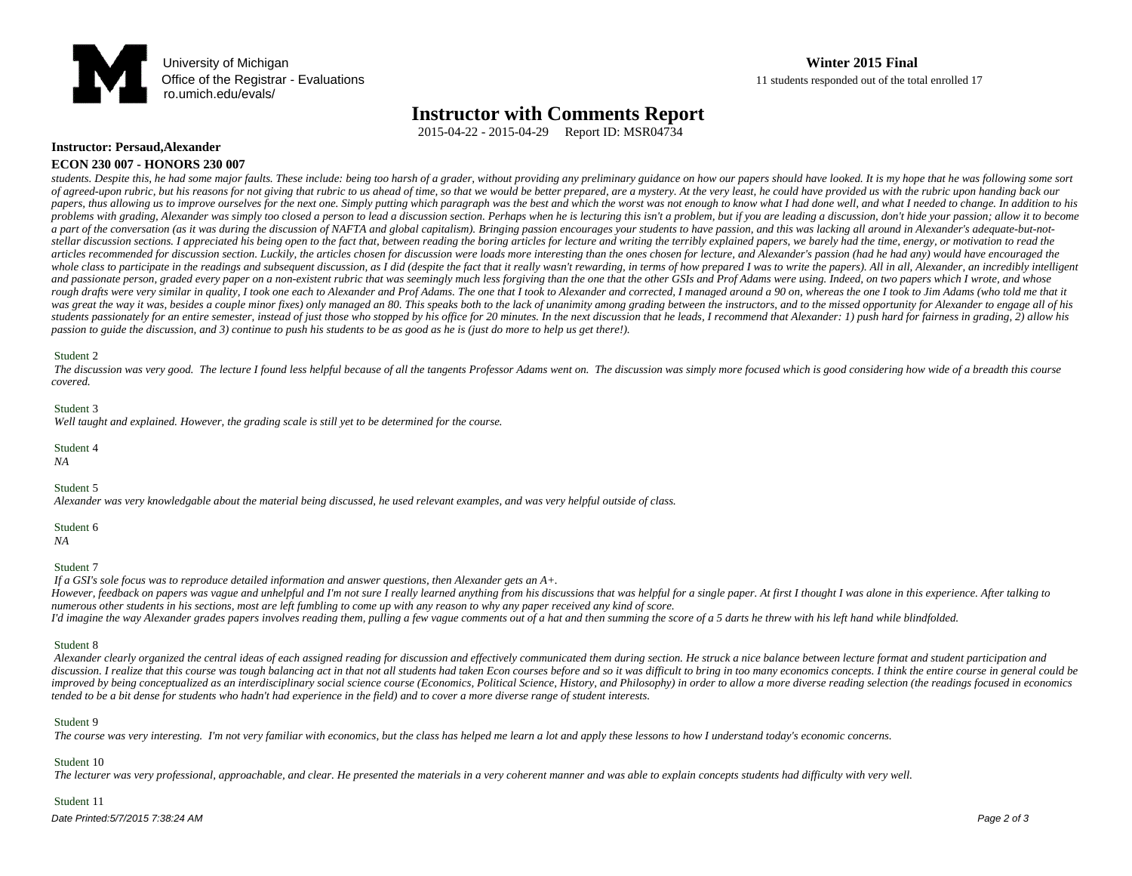

## **Office of the Registrar - Evaluations** 11 students responded out of the total enrolled 17

## **Instructor with Comments Report**

2015-04-22 - 2015-04-29 Report ID: MSR04734

#### **Instructor: Persaud,Alexander ECON 230 007 - HONORS 230 007**

students. Despite this, he had some major faults. These include: being too harsh of a grader, without providing any preliminary guidance on how our papers should have looked. It is my hope that he was following some sort of agreed-upon rubric, but his reasons for not giving that rubric to us ahead of time, so that we would be better prepared, are a mystery. At the very least, he could have provided us with the rubric upon handing back our papers, thus allowing us to improve ourselves for the next one. Simply putting which paragraph was the best and which the worst was not enough to know what I had done well, and what I needed to change. In addition to his problems with grading, Alexander was simply too closed a person to lead a discussion section. Perhaps when he is lecturing this isn't a problem, but if you are leading a discussion, don't hide your passion; allow it to bec a part of the conversation (as it was during the discussion of NAFTA and global capitalism). Bringing passion encourages your students to have passion, and this was lacking all around in Alexander's adequate-but-notstellar discussion sections. I appreciated his being open to the fact that, between reading the boring articles for lecture and writing the terribly explained papers, we barely had the time, energy, or motivation to read t articles recommended for discussion section. Luckily, the articles chosen for discussion were loads more interesting than the ones chosen for lecture, and Alexander's passion (had he had any) would have encouraged the whole class to participate in the readings and subsequent discussion, as I did (despite the fact that it really wasn't rewarding, in terms of how prepared I was to write the papers). All in all, Alexander, an incredibly in and passionate person, graded every paper on a non-existent rubric that was seemingly much less forgiving than the one that the other GSIs and Prof Adams were using. Indeed, on two papers which I wrote, and whose rough drafts were very similar in quality, I took one each to Alexander and Prof Adams. The one that I took to Alexander and corrected, I managed around a 90 on, whereas the one I took to Jim Adams (who told me that it was great the way it was, besides a couple minor fixes) only managed an 80. This speaks both to the lack of unanimity among grading between the instructors, and to the missed opportunity for Alexander to engage all of his students passionately for an entire semester, instead of just those who stopped by his office for 20 minutes. In the next discussion that he leads, I recommend that Alexander: 1) push hard for fairness in grading, 2) allow *passion to guide the discussion, and 3) continue to push his students to be as good as he is (just do more to help us get there!).*

#### Student 2

 *The discussion was very good. The lecture I found less helpful because of all the tangents Professor Adams went on. The discussion was simply more focused which is good considering how wide of a breadth this course covered.* 

#### Student 3

 *Well taught and explained. However, the grading scale is still yet to be determined for the course.* 

#### Student 4

 *NA*

#### Student 5

 *Alexander was very knowledgable about the material being discussed, he used relevant examples, and was very helpful outside of class.* 

Student 6

### *NA*

#### Student 7

 *If a GSI's sole focus was to reproduce detailed information and answer questions, then Alexander gets an A+.*

However, feedback on papers was vague and unhelpful and I'm not sure I really learned anything from his discussions that was helpful for a single paper. At first I thought I was alone in this experience. After talking to *numerous other students in his sections, most are left fumbling to come up with any reason to why any paper received any kind of score. I'd imagine the way Alexander grades papers involves reading them, pulling a few vague comments out of a hat and then summing the score of a 5 darts he threw with his left hand while blindfolded.*

#### Student 8

 *Alexander clearly organized the central ideas of each assigned reading for discussion and effectively communicated them during section. He struck a nice balance between lecture format and student participation and*  discussion. I realize that this course was tough balancing act in that not all students had taken Econ courses before and so it was difficult to bring in too many economics concepts. I think the entire course in general co improved by being conceptualized as an interdisciplinary social science course (Economics, Political Science, History, and Philosophy) in order to allow a more diverse reading selection (the readings focused in economics *tended to be a bit dense for students who hadn't had experience in the field) and to cover a more diverse range of student interests.* 

#### Student 9

 *The course was very interesting. I'm not very familiar with economics, but the class has helped me learn a lot and apply these lessons to how I understand today's economic concerns.*

#### Student 10

 *The lecturer was very professional, approachable, and clear. He presented the materials in a very coherent manner and was able to explain concepts students had difficulty with very well.* 

### Student 11

Date Printed:5/7/2015 7:38:24 AM Page 2 of 3